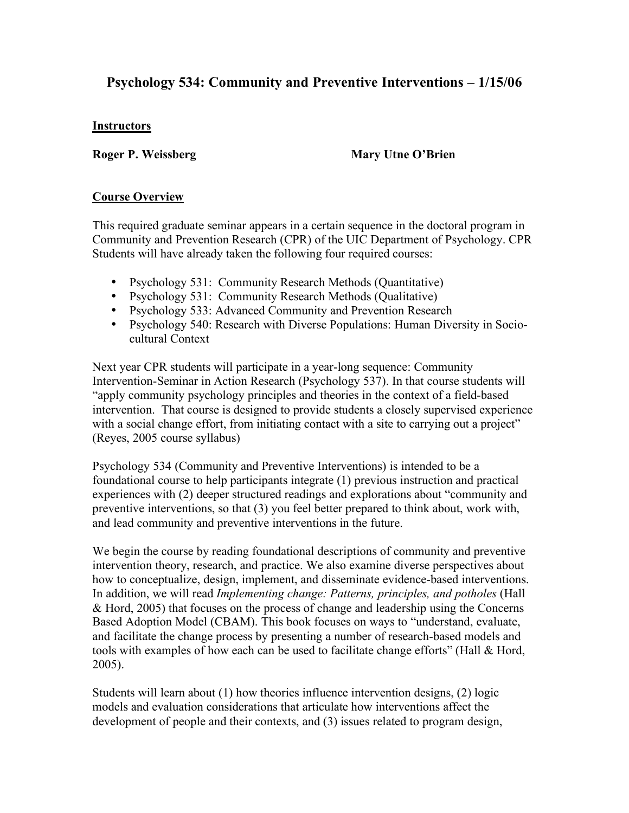# **Psychology 534: Community and Preventive Interventions – 1/15/06**

## **Instructors**

**Roger P. Weissberg Mary Utne O'Brien**

# **Course Overview**

This required graduate seminar appears in a certain sequence in the doctoral program in Community and Prevention Research (CPR) of the UIC Department of Psychology. CPR Students will have already taken the following four required courses:

- Psychology 531: Community Research Methods (Quantitative)
- Psychology 531: Community Research Methods (Qualitative)
- Psychology 533: Advanced Community and Prevention Research
- Psychology 540: Research with Diverse Populations: Human Diversity in Sociocultural Context

Next year CPR students will participate in a year-long sequence: Community Intervention-Seminar in Action Research (Psychology 537). In that course students will "apply community psychology principles and theories in the context of a field-based intervention. That course is designed to provide students a closely supervised experience with a social change effort, from initiating contact with a site to carrying out a project" (Reyes, 2005 course syllabus)

Psychology 534 (Community and Preventive Interventions) is intended to be a foundational course to help participants integrate (1) previous instruction and practical experiences with (2) deeper structured readings and explorations about "community and preventive interventions, so that (3) you feel better prepared to think about, work with, and lead community and preventive interventions in the future.

We begin the course by reading foundational descriptions of community and preventive intervention theory, research, and practice. We also examine diverse perspectives about how to conceptualize, design, implement, and disseminate evidence-based interventions. In addition, we will read *Implementing change: Patterns, principles, and potholes* (Hall & Hord, 2005) that focuses on the process of change and leadership using the Concerns Based Adoption Model (CBAM). This book focuses on ways to "understand, evaluate, and facilitate the change process by presenting a number of research-based models and tools with examples of how each can be used to facilitate change efforts" (Hall & Hord, 2005).

Students will learn about (1) how theories influence intervention designs, (2) logic models and evaluation considerations that articulate how interventions affect the development of people and their contexts, and (3) issues related to program design,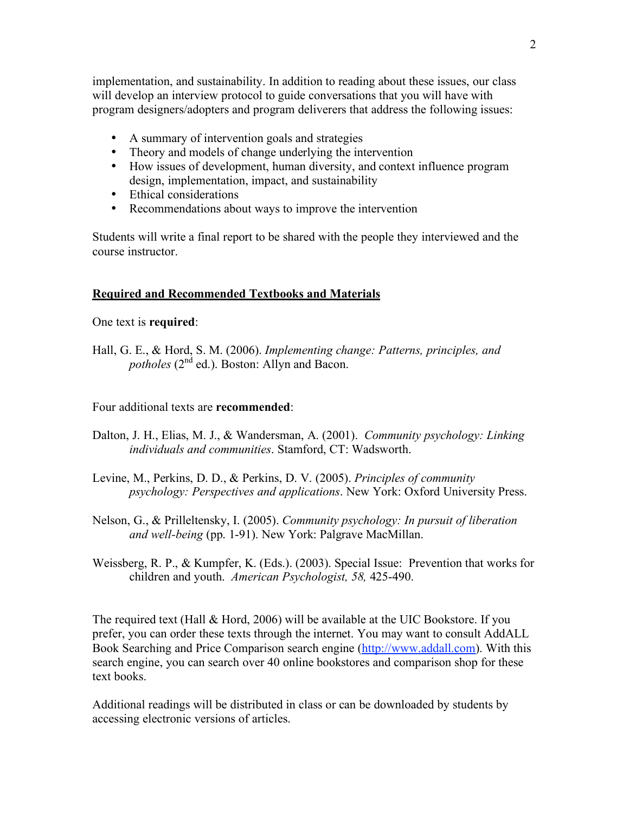implementation, and sustainability. In addition to reading about these issues, our class will develop an interview protocol to guide conversations that you will have with program designers/adopters and program deliverers that address the following issues:

- A summary of intervention goals and strategies
- Theory and models of change underlying the intervention
- How issues of development, human diversity, and context influence program design, implementation, impact, and sustainability
- Ethical considerations
- Recommendations about ways to improve the intervention

Students will write a final report to be shared with the people they interviewed and the course instructor.

## **Required and Recommended Textbooks and Materials**

One text is **required**:

Hall, G. E., & Hord, S. M. (2006). *Implementing change: Patterns, principles, and potholes* ( $2<sup>nd</sup>$  ed.). Boston: Allyn and Bacon.

Four additional texts are **recommended**:

- Dalton, J. H., Elias, M. J., & Wandersman, A. (2001). *Community psychology: Linking individuals and communities*. Stamford, CT: Wadsworth.
- Levine, M., Perkins, D. D., & Perkins, D. V. (2005). *Principles of community psychology: Perspectives and applications*. New York: Oxford University Press.
- Nelson, G., & Prilleltensky, I. (2005). *Community psychology: In pursuit of liberation and well-being* (pp. 1-91). New York: Palgrave MacMillan.
- Weissberg, R. P., & Kumpfer, K. (Eds.). (2003). Special Issue: Prevention that works for children and youth. *American Psychologist, 58,* 425-490.

The required text (Hall & Hord, 2006) will be available at the UIC Bookstore. If you prefer, you can order these texts through the internet. You may want to consult AddALL Book Searching and Price Comparison search engine (http://www.addall.com). With this search engine, you can search over 40 online bookstores and comparison shop for these text books.

Additional readings will be distributed in class or can be downloaded by students by accessing electronic versions of articles.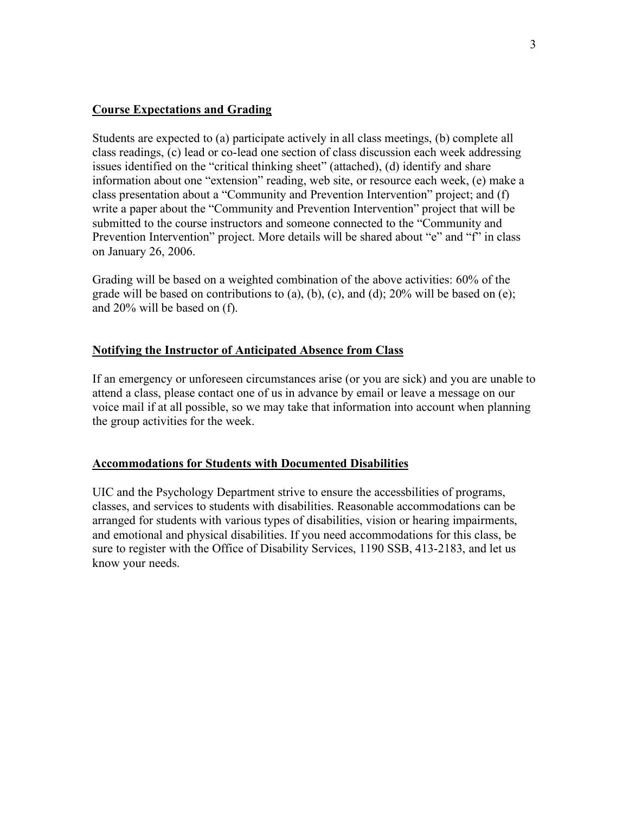## **Course Expectations and Grading**

Students are expected to (a) participate actively in all class meetings, (b) complete all class readings, (c) lead or co-lead one section of class discussion each week addressing issues identified on the "critical thinking sheet" (attached), (d) identify and share information about one "extension" reading, web site, or resource each week, (e) make a class presentation about a "Community and Prevention Intervention" project; and (f) write a paper about the "Community and Prevention Intervention" project that will be submitted to the course instructors and someone connected to the "Community and Prevention Intervention" project. More details will be shared about "e" and "f" in class on January 26, 2006.

Grading will be based on a weighted combination of the above activities: 60% of the grade will be based on contributions to (a), (b), (c), and (d);  $20\%$  will be based on (e); and 20% will be based on (f).

## **Notifying the Instructor of Anticipated Absence from Class**

If an emergency or unforeseen circumstances arise (or you are sick) and you are unable to attend a class, please contact one of us in advance by email or leave a message on our voice mail if at all possible, so we may take that information into account when planning the group activities for the week.

## **Accommodations for Students with Documented Disabilities**

UIC and the Psychology Department strive to ensure the accessbilities of programs, classes, and services to students with disabilities. Reasonable accommodations can be arranged for students with various types of disabilities, vision or hearing impairments, and emotional and physical disabilities. If you need accommodations for this class, be sure to register with the Office of Disability Services, 1190 SSB, 413-2183, and let us know your needs.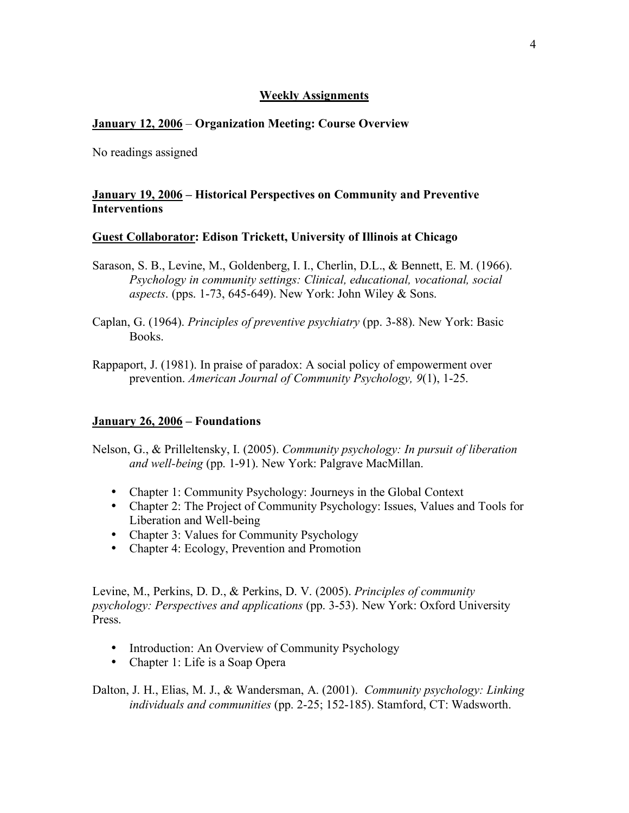#### **Weekly Assignments**

#### **January 12, 2006** – **Organization Meeting: Course Overview**

No readings assigned

#### **January 19, 2006 – Historical Perspectives on Community and Preventive Interventions**

#### **Guest Collaborator: Edison Trickett, University of Illinois at Chicago**

Sarason, S. B., Levine, M., Goldenberg, I. I., Cherlin, D.L., & Bennett, E. M. (1966). *Psychology in community settings: Clinical, educational, vocational, social aspects*. (pps. 1-73, 645-649). New York: John Wiley & Sons.

Caplan, G. (1964). *Principles of preventive psychiatry* (pp. 3-88). New York: Basic Books.

Rappaport, J. (1981). In praise of paradox: A social policy of empowerment over prevention. *American Journal of Community Psychology, 9*(1), 1-25.

#### **January 26, 2006 – Foundations**

- Nelson, G., & Prilleltensky, I. (2005). *Community psychology: In pursuit of liberation and well-being* (pp. 1-91). New York: Palgrave MacMillan.
	- Chapter 1: Community Psychology: Journeys in the Global Context
	- Chapter 2: The Project of Community Psychology: Issues, Values and Tools for Liberation and Well-being
	- Chapter 3: Values for Community Psychology
	- Chapter 4: Ecology, Prevention and Promotion

Levine, M., Perkins, D. D., & Perkins, D. V. (2005). *Principles of community psychology: Perspectives and applications* (pp. 3-53). New York: Oxford University Press.

- Introduction: An Overview of Community Psychology
- Chapter 1: Life is a Soap Opera

Dalton, J. H., Elias, M. J., & Wandersman, A. (2001). *Community psychology: Linking individuals and communities* (pp. 2-25; 152-185). Stamford, CT: Wadsworth.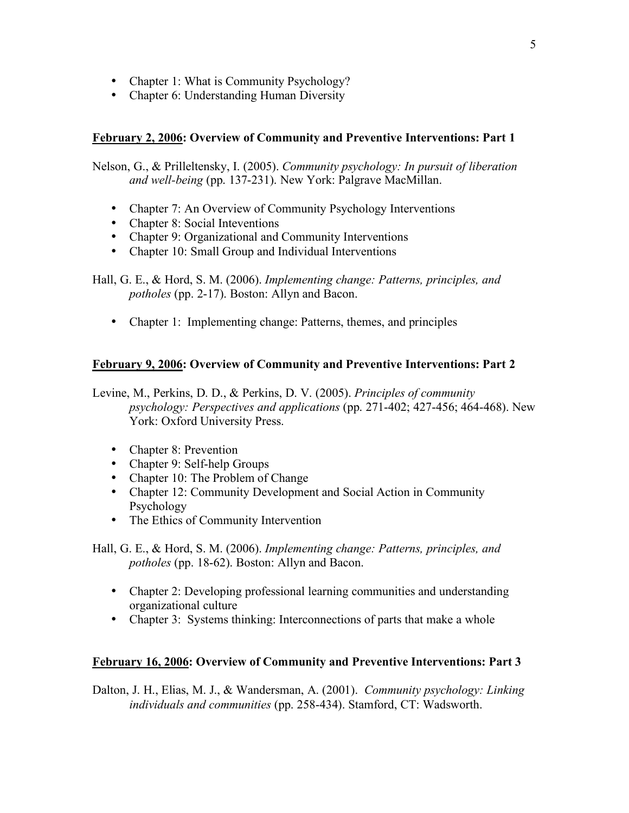- Chapter 1: What is Community Psychology?
- Chapter 6: Understanding Human Diversity

## **February 2, 2006: Overview of Community and Preventive Interventions: Part 1**

Nelson, G., & Prilleltensky, I. (2005). *Community psychology: In pursuit of liberation and well-being* (pp. 137-231). New York: Palgrave MacMillan.

- Chapter 7: An Overview of Community Psychology Interventions
- Chapter 8: Social Inteventions
- Chapter 9: Organizational and Community Interventions
- Chapter 10: Small Group and Individual Interventions

Hall, G. E., & Hord, S. M. (2006). *Implementing change: Patterns, principles, and potholes* (pp. 2-17). Boston: Allyn and Bacon.

• Chapter 1: Implementing change: Patterns, themes, and principles

# **February 9, 2006: Overview of Community and Preventive Interventions: Part 2**

Levine, M., Perkins, D. D., & Perkins, D. V. (2005). *Principles of community psychology: Perspectives and applications* (pp. 271-402; 427-456; 464-468). New York: Oxford University Press.

- Chapter 8: Prevention
- Chapter 9: Self-help Groups
- Chapter 10: The Problem of Change
- Chapter 12: Community Development and Social Action in Community Psychology
- The Ethics of Community Intervention

Hall, G. E., & Hord, S. M. (2006). *Implementing change: Patterns, principles, and potholes* (pp. 18-62). Boston: Allyn and Bacon.

- Chapter 2: Developing professional learning communities and understanding organizational culture
- Chapter 3: Systems thinking: Interconnections of parts that make a whole

## **February 16, 2006: Overview of Community and Preventive Interventions: Part 3**

Dalton, J. H., Elias, M. J., & Wandersman, A. (2001). *Community psychology: Linking individuals and communities* (pp. 258-434). Stamford, CT: Wadsworth.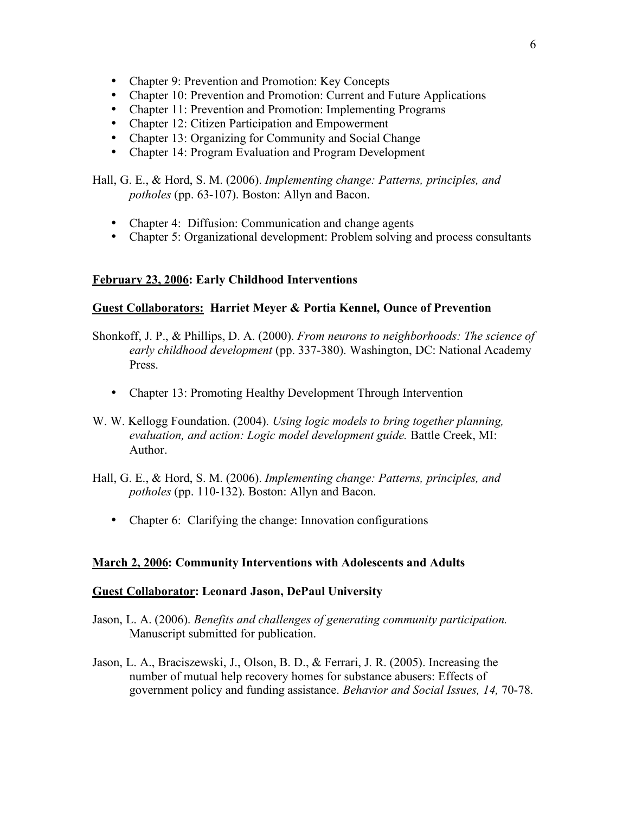- Chapter 9: Prevention and Promotion: Key Concepts
- Chapter 10: Prevention and Promotion: Current and Future Applications
- Chapter 11: Prevention and Promotion: Implementing Programs
- Chapter 12: Citizen Participation and Empowerment
- Chapter 13: Organizing for Community and Social Change
- Chapter 14: Program Evaluation and Program Development

Hall, G. E., & Hord, S. M. (2006). *Implementing change: Patterns, principles, and potholes* (pp. 63-107). Boston: Allyn and Bacon.

- Chapter 4: Diffusion: Communication and change agents
- Chapter 5: Organizational development: Problem solving and process consultants

## **February 23, 2006: Early Childhood Interventions**

## **Guest Collaborators: Harriet Meyer & Portia Kennel, Ounce of Prevention**

- Shonkoff, J. P., & Phillips, D. A. (2000). *From neurons to neighborhoods: The science of early childhood development* (pp. 337-380). Washington, DC: National Academy Press.
	- Chapter 13: Promoting Healthy Development Through Intervention
- W. W. Kellogg Foundation. (2004). *Using logic models to bring together planning, evaluation, and action: Logic model development guide.* Battle Creek, MI: Author.
- Hall, G. E., & Hord, S. M. (2006). *Implementing change: Patterns, principles, and potholes* (pp. 110-132). Boston: Allyn and Bacon.
	- Chapter 6: Clarifying the change: Innovation configurations

## **March 2, 2006: Community Interventions with Adolescents and Adults**

## **Guest Collaborator: Leonard Jason, DePaul University**

- Jason, L. A. (2006). *Benefits and challenges of generating community participation.* Manuscript submitted for publication.
- Jason, L. A., Braciszewski, J., Olson, B. D., & Ferrari, J. R. (2005). Increasing the number of mutual help recovery homes for substance abusers: Effects of government policy and funding assistance. *Behavior and Social Issues, 14,* 70-78.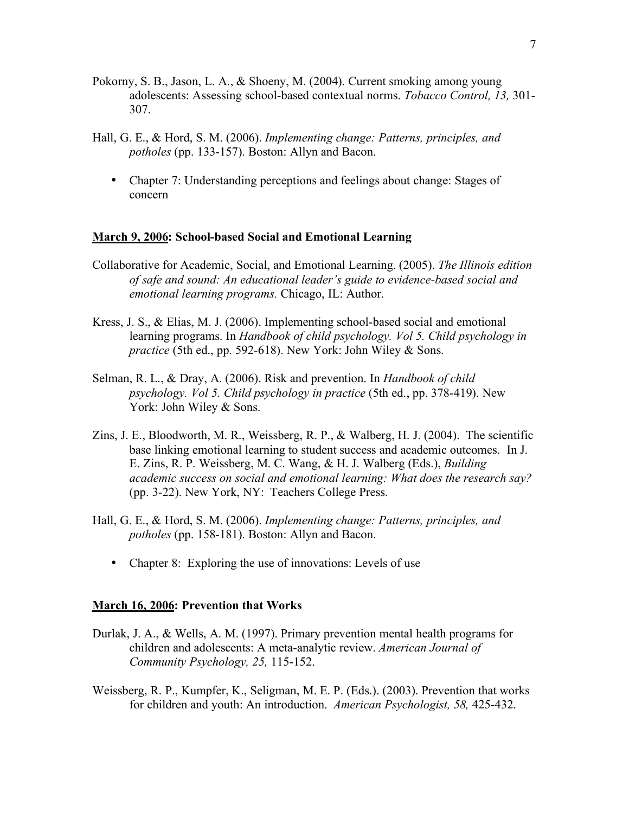- Pokorny, S. B., Jason, L. A., & Shoeny, M. (2004). Current smoking among young adolescents: Assessing school-based contextual norms. *Tobacco Control, 13,* 301- 307.
- Hall, G. E., & Hord, S. M. (2006). *Implementing change: Patterns, principles, and potholes* (pp. 133-157). Boston: Allyn and Bacon.
	- Chapter 7: Understanding perceptions and feelings about change: Stages of concern

#### **March 9, 2006: School-based Social and Emotional Learning**

- Collaborative for Academic, Social, and Emotional Learning. (2005). *The Illinois edition of safe and sound: An educational leader's guide to evidence-based social and emotional learning programs.* Chicago, IL: Author.
- Kress, J. S., & Elias, M. J. (2006). Implementing school-based social and emotional learning programs. In *Handbook of child psychology. Vol 5. Child psychology in practice* (5th ed., pp. 592-618). New York: John Wiley & Sons.
- Selman, R. L., & Dray, A. (2006). Risk and prevention. In *Handbook of child psychology. Vol 5. Child psychology in practice* (5th ed., pp. 378-419). New York: John Wiley & Sons.
- Zins, J. E., Bloodworth, M. R., Weissberg, R. P., & Walberg, H. J. (2004). The scientific base linking emotional learning to student success and academic outcomes. In J. E. Zins, R. P. Weissberg, M. C. Wang, & H. J. Walberg (Eds.), *Building academic success on social and emotional learning: What does the research say?* (pp. 3-22). New York, NY: Teachers College Press.
- Hall, G. E., & Hord, S. M. (2006). *Implementing change: Patterns, principles, and potholes* (pp. 158-181). Boston: Allyn and Bacon.
	- Chapter 8: Exploring the use of innovations: Levels of use

#### **March 16, 2006: Prevention that Works**

- Durlak, J. A., & Wells, A. M. (1997). Primary prevention mental health programs for children and adolescents: A meta-analytic review. *American Journal of Community Psychology, 25,* 115-152.
- Weissberg, R. P., Kumpfer, K., Seligman, M. E. P. (Eds.). (2003). Prevention that works for children and youth: An introduction. *American Psychologist, 58,* 425-432.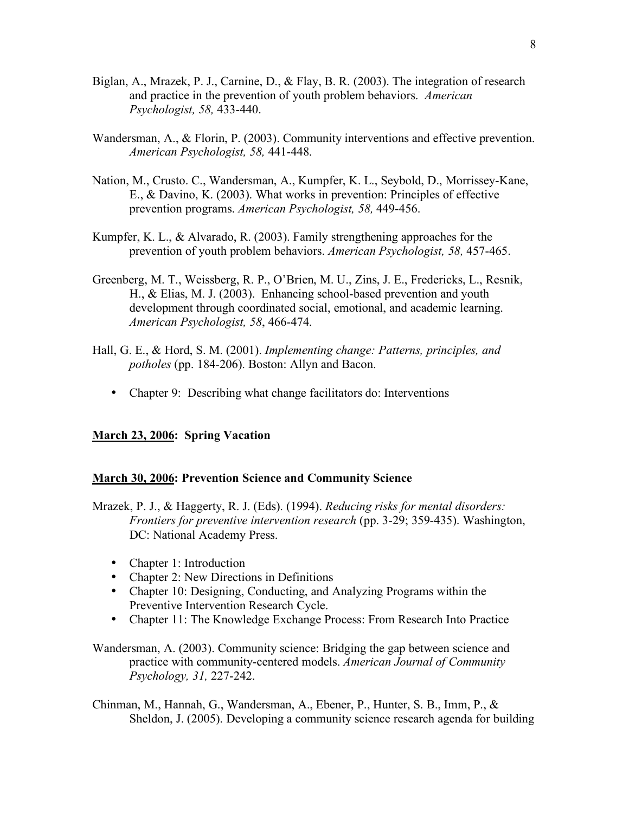- Biglan, A., Mrazek, P. J., Carnine, D., & Flay, B. R. (2003). The integration of research and practice in the prevention of youth problem behaviors. *American Psychologist, 58,* 433-440.
- Wandersman, A., & Florin, P. (2003). Community interventions and effective prevention. *American Psychologist, 58,* 441-448.
- Nation, M., Crusto. C., Wandersman, A., Kumpfer, K. L., Seybold, D., Morrissey-Kane, E., & Davino, K. (2003). What works in prevention: Principles of effective prevention programs. *American Psychologist, 58,* 449-456.
- Kumpfer, K. L., & Alvarado, R. (2003). Family strengthening approaches for the prevention of youth problem behaviors. *American Psychologist, 58,* 457-465.
- Greenberg, M. T., Weissberg, R. P., O'Brien, M. U., Zins, J. E., Fredericks, L., Resnik, H., & Elias, M. J. (2003). Enhancing school-based prevention and youth development through coordinated social, emotional, and academic learning. *American Psychologist, 58*, 466-474.
- Hall, G. E., & Hord, S. M. (2001). *Implementing change: Patterns, principles, and potholes* (pp. 184-206). Boston: Allyn and Bacon.
	- Chapter 9: Describing what change facilitators do: Interventions

# **March 23, 2006: Spring Vacation**

#### **March 30, 2006: Prevention Science and Community Science**

- Mrazek, P. J., & Haggerty, R. J. (Eds). (1994). *Reducing risks for mental disorders: Frontiers for preventive intervention research* (pp. 3-29; 359-435). Washington, DC: National Academy Press.
	- Chapter 1: Introduction
	- Chapter 2: New Directions in Definitions
	- Chapter 10: Designing, Conducting, and Analyzing Programs within the Preventive Intervention Research Cycle.
	- Chapter 11: The Knowledge Exchange Process: From Research Into Practice
- Wandersman, A. (2003). Community science: Bridging the gap between science and practice with community-centered models. *American Journal of Community Psychology, 31,* 227-242.

Chinman, M., Hannah, G., Wandersman, A., Ebener, P., Hunter, S. B., Imm, P., & Sheldon, J. (2005). Developing a community science research agenda for building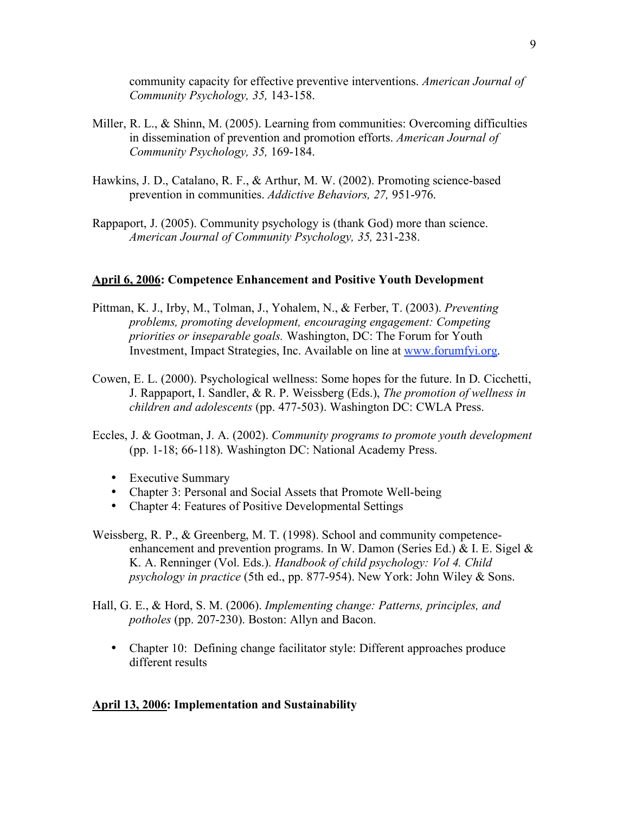community capacity for effective preventive interventions. *American Journal of Community Psychology, 35,* 143-158.

- Miller, R. L., & Shinn, M. (2005). Learning from communities: Overcoming difficulties in dissemination of prevention and promotion efforts. *American Journal of Community Psychology, 35,* 169-184.
- Hawkins, J. D., Catalano, R. F., & Arthur, M. W. (2002). Promoting science-based prevention in communities. *Addictive Behaviors, 27,* 951-976.
- Rappaport, J. (2005). Community psychology is (thank God) more than science. *American Journal of Community Psychology, 35,* 231-238.

#### **April 6, 2006: Competence Enhancement and Positive Youth Development**

- Pittman, K. J., Irby, M., Tolman, J., Yohalem, N., & Ferber, T. (2003). *Preventing problems, promoting development, encouraging engagement: Competing priorities or inseparable goals.* Washington, DC: The Forum for Youth Investment, Impact Strategies, Inc. Available on line at www.forumfyi.org.
- Cowen, E. L. (2000). Psychological wellness: Some hopes for the future. In D. Cicchetti, J. Rappaport, I. Sandler, & R. P. Weissberg (Eds.), *The promotion of wellness in children and adolescents* (pp. 477-503). Washington DC: CWLA Press.
- Eccles, J. & Gootman, J. A. (2002). *Community programs to promote youth development* (pp. 1-18; 66-118). Washington DC: National Academy Press.
	- Executive Summary
	- Chapter 3: Personal and Social Assets that Promote Well-being
	- Chapter 4: Features of Positive Developmental Settings
- Weissberg, R. P., & Greenberg, M. T. (1998). School and community competenceenhancement and prevention programs. In W. Damon (Series Ed.)  $& 1$ . E. Sigel  $& 2$ K. A. Renninger (Vol. Eds.). *Handbook of child psychology: Vol 4. Child psychology in practice* (5th ed., pp. 877-954). New York: John Wiley & Sons.
- Hall, G. E., & Hord, S. M. (2006). *Implementing change: Patterns, principles, and potholes* (pp. 207-230). Boston: Allyn and Bacon.
	- Chapter 10: Defining change facilitator style: Different approaches produce different results

#### **April 13, 2006: Implementation and Sustainability**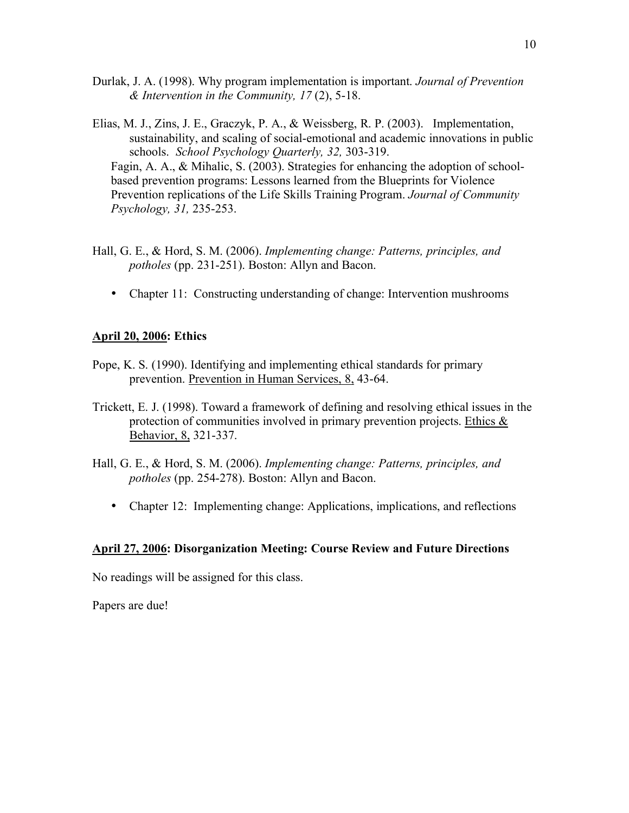- Durlak, J. A. (1998). Why program implementation is important. *Journal of Prevention & Intervention in the Community, 17* (2), 5-18.
- Elias, M. J., Zins, J. E., Graczyk, P. A., & Weissberg, R. P. (2003). Implementation, sustainability, and scaling of social-emotional and academic innovations in public schools. *School Psychology Quarterly, 32,* 303-319. Fagin, A. A., & Mihalic, S. (2003). Strategies for enhancing the adoption of schoolbased prevention programs: Lessons learned from the Blueprints for Violence Prevention replications of the Life Skills Training Program. *Journal of Community Psychology, 31,* 235-253.
- Hall, G. E., & Hord, S. M. (2006). *Implementing change: Patterns, principles, and potholes* (pp. 231-251). Boston: Allyn and Bacon.
	- Chapter 11: Constructing understanding of change: Intervention mushrooms

## **April 20, 2006: Ethics**

- Pope, K. S. (1990). Identifying and implementing ethical standards for primary prevention. Prevention in Human Services, 8, 43-64.
- Trickett, E. J. (1998). Toward a framework of defining and resolving ethical issues in the protection of communities involved in primary prevention projects. Ethics  $\&$ Behavior, 8, 321-337.
- Hall, G. E., & Hord, S. M. (2006). *Implementing change: Patterns, principles, and potholes* (pp. 254-278). Boston: Allyn and Bacon.
	- Chapter 12: Implementing change: Applications, implications, and reflections

## **April 27, 2006: Disorganization Meeting: Course Review and Future Directions**

No readings will be assigned for this class.

Papers are due!